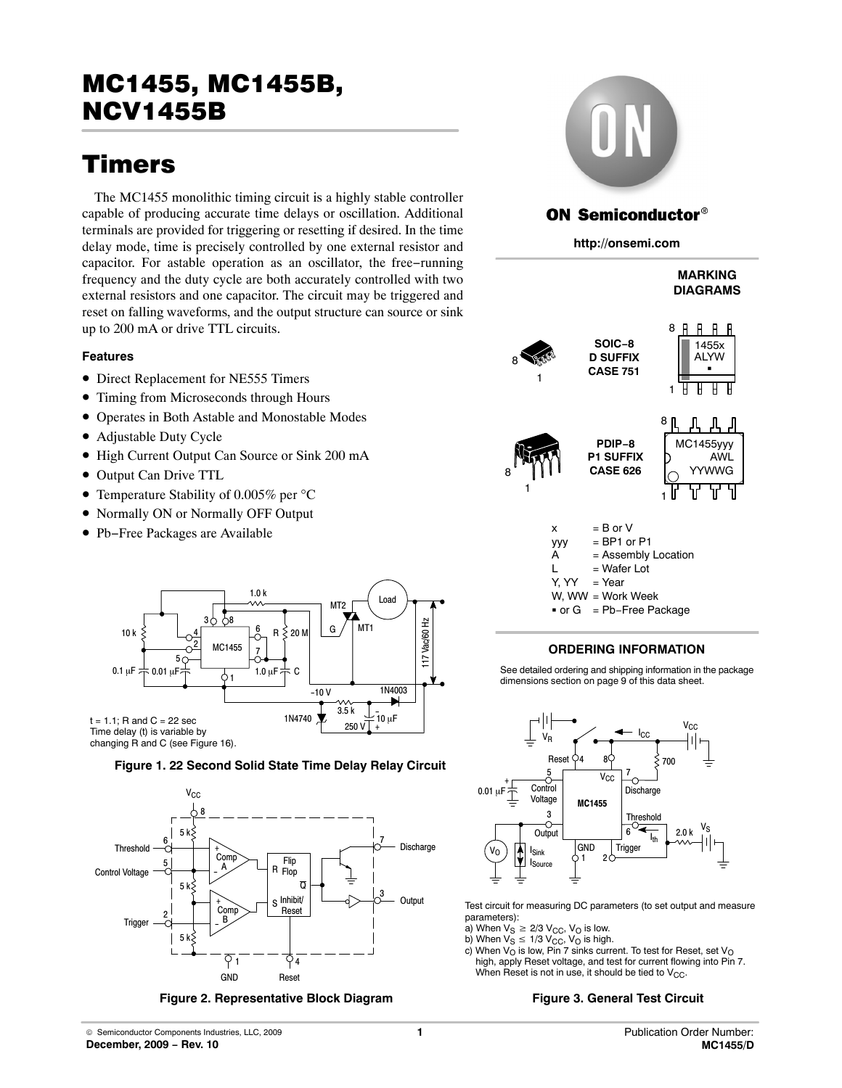# Timers

The MC1455 monolithic timing circuit is a highly stable controller capable of producing accurate time delays or oscillation. Additional terminals are provided for triggering or resetting if desired. In the time delay mode, time is precisely controlled by one external resistor and capacitor. For astable operation as an oscillator, the free−running frequency and the duty cycle are both accurately controlled with two external resistors and one capacitor. The circuit may be triggered and reset on falling waveforms, and the output structure can source or sink up to 200 mA or drive TTL circuits.

#### **Features**

- Direct Replacement for NE555 Timers
- Timing from Microseconds through Hours
- Operates in Both Astable and Monostable Modes
- Adjustable Duty Cycle
- High Current Output Can Source or Sink 200 mA
- Output Can Drive TTL
- Temperature Stability of 0.005% per °C
- Normally ON or Normally OFF Output
- Pb−Free Packages are Available







**Figure 2. Representative Block Diagram Figure 3. General Test Circuit** 



## **ON Semiconductor®**

**http://onsemi.com**

#### **MARKING DIAGRAMS**

-

 $\overline{\mathsf{H}}$ 





 $x = B$  or  $V$  $yyy = BP1$  or  $P1$  $A =$  Assembly Location  $L = Water Lot$  $Y. YY = Year$ W, WW = Work Week  $-$  or G = Pb−Free Package

#### **ORDERING INFORMATION**

See detailed ordering and shipping information in the package dimensions section on page [9](#page-8-0) of this data sheet.



Test circuit for measuring DC parameters (to set output and measure parameters):

a) When  $V_S \geq 2/3$   $V_{CC}$ ,  $V_O$  is low.

1 8

- b) When  $V_S \leq 1/3$   $V_{CC}$ ,  $V_O$  is high.
- c) When  $V_{\rm O}$  is low, Pin 7 sinks current. To test for Reset, set  $V_{\rm O}$ high, apply Reset voltage, and test for current flowing into Pin 7. When Reset is not in use, it should be tied to  $V_{CC}$ .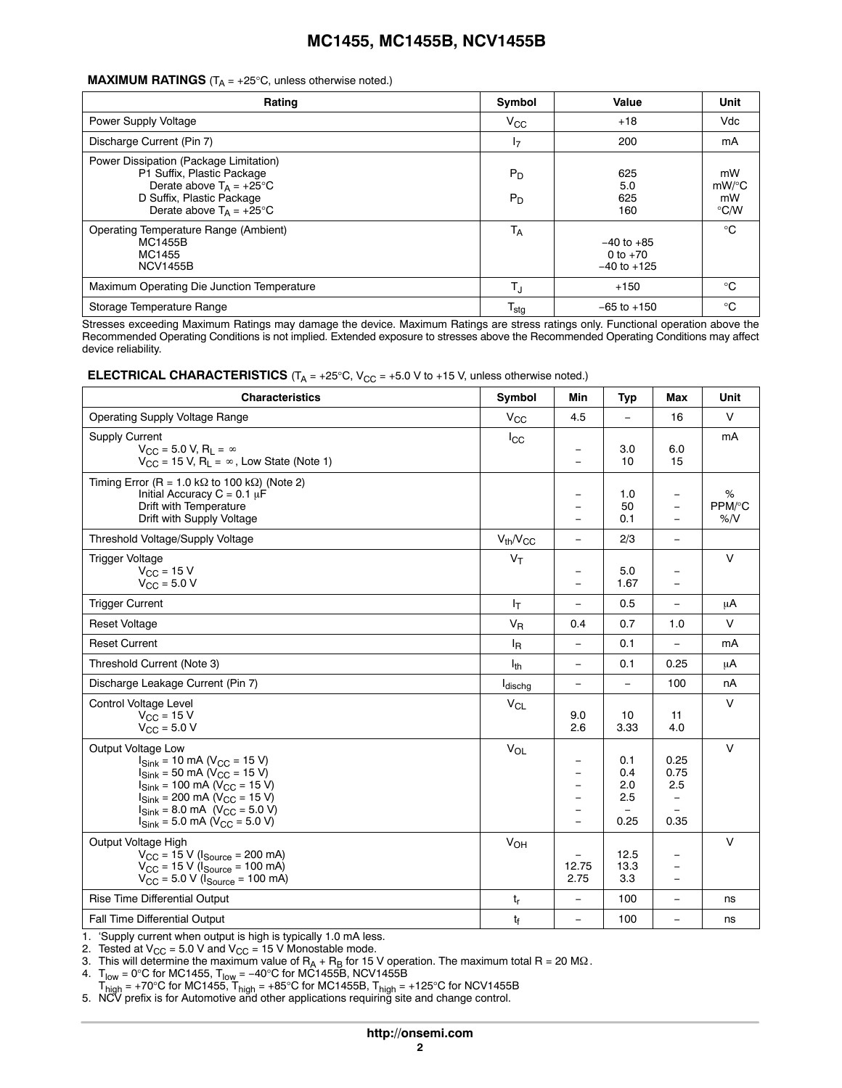#### **MAXIMUM RATINGS** ( $T_A = +25^\circ C$ , unless otherwise noted.)

| Rating                                                                                                                                                                      | Symbol           | Value                                           | Unit                               |
|-----------------------------------------------------------------------------------------------------------------------------------------------------------------------------|------------------|-------------------------------------------------|------------------------------------|
| Power Supply Voltage                                                                                                                                                        | $V_{\rm CC}$     | $+18$                                           | Vdc                                |
| Discharge Current (Pin 7)                                                                                                                                                   | 17               | 200                                             | mA                                 |
| Power Dissipation (Package Limitation)<br>P1 Suffix, Plastic Package<br>Derate above $T_A = +25^{\circ}C$<br>D Suffix, Plastic Package<br>Derate above $T_A = +25^{\circ}C$ | $P_D$<br>$P_D$   | 625<br>5.0<br>625<br>160                        | mW<br>mW/°C<br>mW<br>$\degree$ C/W |
| Operating Temperature Range (Ambient)<br><b>MC1455B</b><br>MC1455<br><b>NCV1455B</b>                                                                                        | <b>TA</b>        | $-40$ to $+85$<br>0 to $+70$<br>$-40$ to $+125$ | $^{\circ}$ C                       |
| Maximum Operating Die Junction Temperature                                                                                                                                  | TJ               | $+150$                                          | $^{\circ}C$                        |
| Storage Temperature Range                                                                                                                                                   | $T_{\text{stg}}$ | $-65$ to $+150$                                 | $^{\circ}C$                        |

Stresses exceeding Maximum Ratings may damage the device. Maximum Ratings are stress ratings only. Functional operation above the Recommended Operating Conditions is not implied. Extended exposure to stresses above the Recommended Operating Conditions may affect device reliability.

| <b>ELECTRICAL CHARACTERISTICS</b> ( $T_A$ = +25°C, $V_{CC}$ = +5.0 V to +15 V, unless otherwise noted.) |  |  |  |
|---------------------------------------------------------------------------------------------------------|--|--|--|
|---------------------------------------------------------------------------------------------------------|--|--|--|

| <b>Characteristics</b>                                                                                                                                                                                                                                                                                                                                          | Symbol              | Min                                                                          | Typ                                          | Max                                                     | Unit              |
|-----------------------------------------------------------------------------------------------------------------------------------------------------------------------------------------------------------------------------------------------------------------------------------------------------------------------------------------------------------------|---------------------|------------------------------------------------------------------------------|----------------------------------------------|---------------------------------------------------------|-------------------|
| <b>Operating Supply Voltage Range</b>                                                                                                                                                                                                                                                                                                                           | $V_{CC}$            | 4.5                                                                          | $\equiv$                                     | 16                                                      | $\vee$            |
| Supply Current<br>$V_{CC}$ = 5.0 V, R <sub>L</sub> = $\infty$<br>$V_{CC}$ = 15 V, R <sub>1</sub> = $\infty$ , Low State (Note 1)                                                                                                                                                                                                                                | $I_{\rm CC}$        |                                                                              | 3.0<br>10                                    | 6.0<br>15                                               | mA                |
| Timing Error (R = 1.0 k $\Omega$ to 100 k $\Omega$ ) (Note 2)<br>Initial Accuracy $C = 0.1 \mu F$<br>Drift with Temperature<br>Drift with Supply Voltage                                                                                                                                                                                                        |                     |                                                                              | 1.0<br>50<br>0.1                             | $\overline{\phantom{m}}$<br>$=$<br>$\equiv$             | %<br>PPM/°C<br>%N |
| Threshold Voltage/Supply Voltage                                                                                                                                                                                                                                                                                                                                | $V_{th}/V_{CC}$     | $\equiv$                                                                     | 2/3                                          | $\equiv$                                                |                   |
| <b>Trigger Voltage</b><br>$V_{\rm CC}$ = 15 V<br>$V_{\text{CC}} = 5.0 V$                                                                                                                                                                                                                                                                                        | $V_T$               | $\overline{\phantom{m}}$                                                     | 5.0<br>1.67                                  | $\equiv$                                                | $\vee$            |
| <b>Trigger Current</b>                                                                                                                                                                                                                                                                                                                                          | Iτ                  | $\overline{\phantom{0}}$                                                     | 0.5                                          | $\frac{1}{2}$                                           | μA                |
| <b>Reset Voltage</b>                                                                                                                                                                                                                                                                                                                                            | $V_R$               | 0.4                                                                          | 0.7                                          | 1.0                                                     | $\vee$            |
| <b>Reset Current</b>                                                                                                                                                                                                                                                                                                                                            | ΙŖ                  | $\equiv$                                                                     | 0.1                                          | $\overline{\phantom{0}}$                                | mA                |
| Threshold Current (Note 3)                                                                                                                                                                                                                                                                                                                                      | $I_{th}$            | $\overline{\phantom{0}}$                                                     | 0.1                                          | 0.25                                                    | μA                |
| Discharge Leakage Current (Pin 7)                                                                                                                                                                                                                                                                                                                               | l <sub>dischg</sub> | $\equiv$                                                                     | $\frac{1}{2}$                                | 100                                                     | nA                |
| Control Voltage Level<br>$V_{\rm CC}$ = 15 V<br>$V_{\text{CC}} = 5.0 V$                                                                                                                                                                                                                                                                                         | $V_{CL}$            | 9.0<br>2.6                                                                   | 10<br>3.33                                   | 11<br>4.0                                               | $\vee$            |
| Output Voltage Low<br>$I_{\text{Sink}}$ = 10 mA ( $V_{\text{CC}}$ = 15 V)<br>$I_{\text{Sink}}$ = 50 mA (V <sub>CC</sub> = 15 V)<br>$I_{\text{Sink}}$ = 100 mA (V <sub>CC</sub> = 15 V)<br>$I_{\text{Sink}}$ = 200 mA ( $V_{\text{CC}}$ = 15 V)<br>$I_{\text{Sink}}$ = 8.0 mA (V <sub>CC</sub> = 5.0 V)<br>$I_{\text{Sink}}$ = 5.0 mA ( $V_{\text{CC}}$ = 5.0 V) | V <sub>OL</sub>     | $\equiv$<br>$\overline{\phantom{0}}$<br>$\equiv$<br>$\overline{\phantom{0}}$ | 0.1<br>0.4<br>2.0<br>2.5<br>$\equiv$<br>0.25 | 0.25<br>0.75<br>2.5<br>$\overline{\phantom{m}}$<br>0.35 | $\vee$            |
| Output Voltage High<br>$V_{CC}$ = 15 V ( $I_{Source}$ = 200 mA)<br>$V_{\text{CC}}$ = 15 V ( $I_{\text{Source}}$ = 100 mA)<br>$V_{\text{CC}} = 5.0 \text{ V}$ ( $I_{\text{Source}} = 100 \text{ mA}$ )                                                                                                                                                           | $V_{OH}$            | 12.75<br>2.75                                                                | 12.5<br>13.3<br>3.3                          | $\qquad \qquad -$                                       | $\vee$            |
| Rise Time Differential Output                                                                                                                                                                                                                                                                                                                                   | t,                  | $\overline{\phantom{m}}$                                                     | 100                                          | $\qquad \qquad =$                                       | ns                |
| <b>Fall Time Differential Output</b>                                                                                                                                                                                                                                                                                                                            | $t_{\rm f}$         | $\equiv$                                                                     | 100                                          | $\qquad \qquad =$                                       | ns                |

1. 'Supply current when output is high is typically 1.0 mA less.

2. Tested at  $V_{CC}$  = 5.0 V and  $V_{CC}$  = 15 V Monostable mode.

3. This will determine the maximum value of  $\mathsf{R}_\mathsf{A}$  +  $\mathsf{R}_\mathsf{B}$  for 15 V operation. The maximum total  $\mathsf{R}$  = 20 M $\Omega$ .

4.  $\text{T}_{\text{low}}$  = 0°C for MC1455,  $\text{T}_{\text{low}}$  = −40°C for MC1455B, NCV1455B

 $T_{\text{high}}$  = +70°C for MC1455,  $T_{\text{high}}$  = +85°C for MC1455B,  $T_{\text{high}}$  = +125°C for NCV1455B<br>5. NCV prefix is for Automotive and other applications requiring site and change control.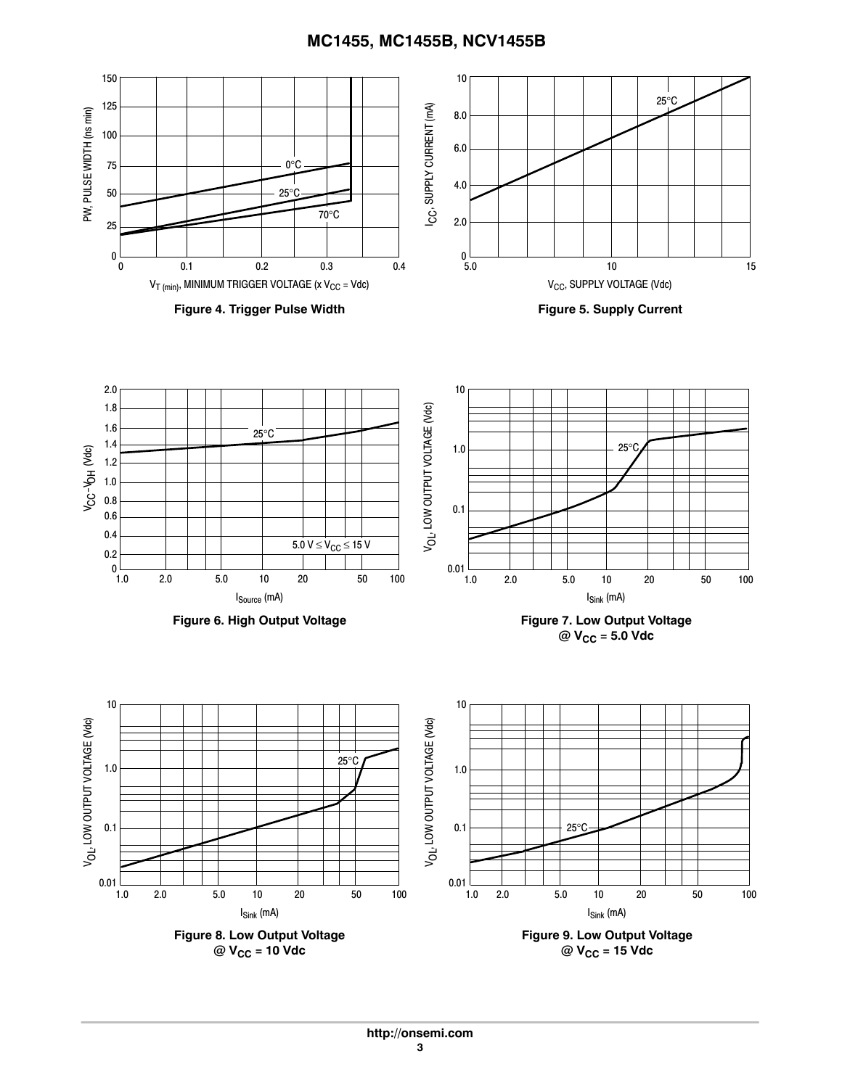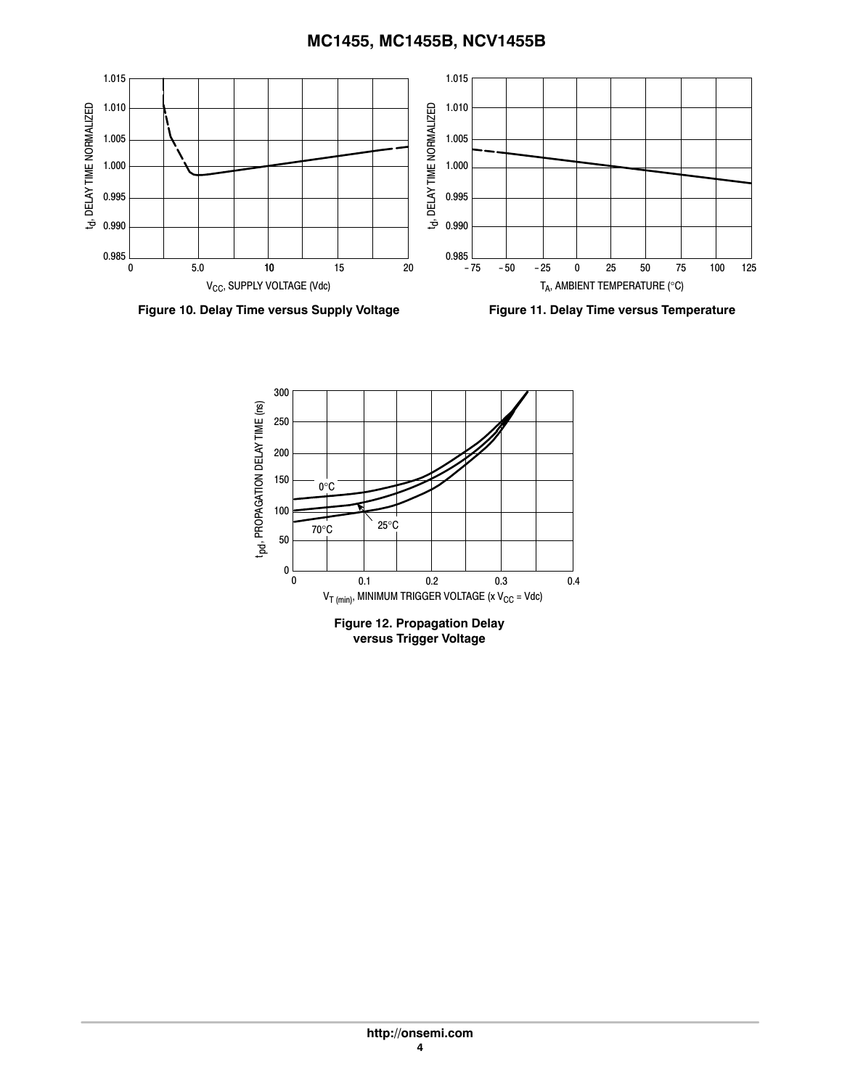

**Figure 10. Delay Time versus Supply Voltage**

**Figure 11. Delay Time versus Temperature**

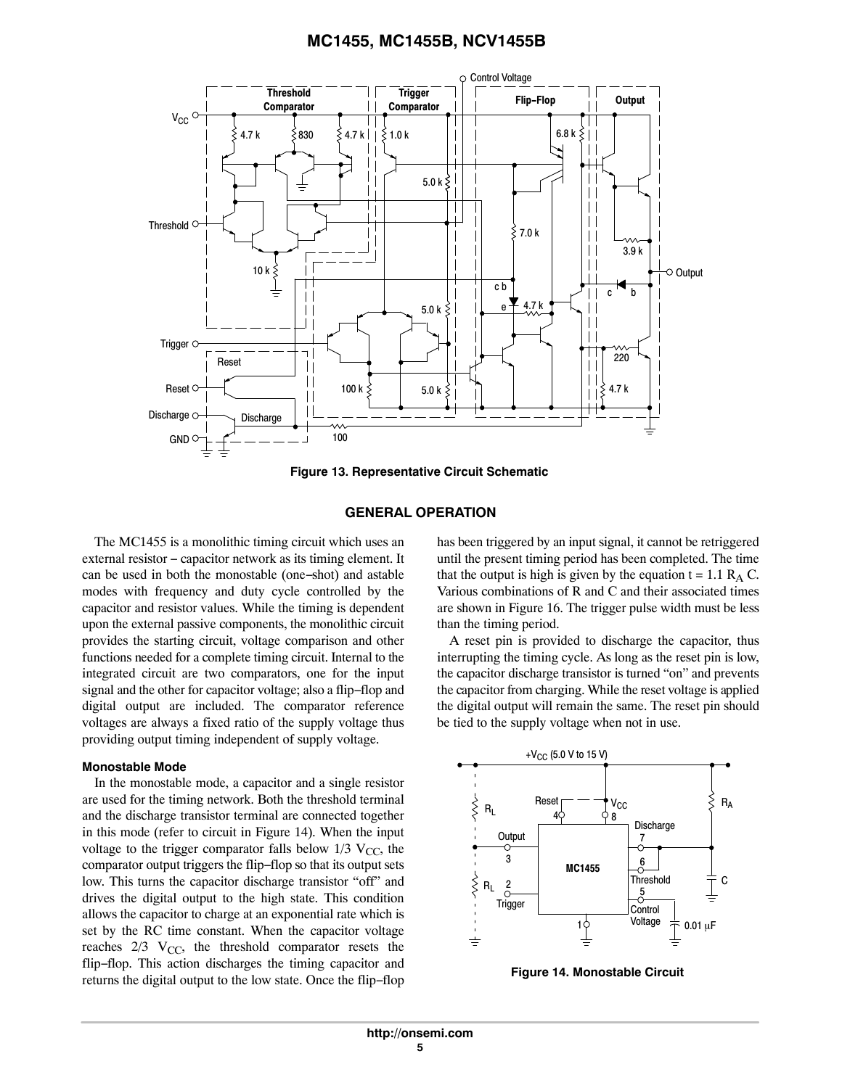

**Figure 13. Representative Circuit Schematic**

#### **GENERAL OPERATION**

The MC1455 is a monolithic timing circuit which uses an external resistor − capacitor network as its timing element. It can be used in both the monostable (one−shot) and astable modes with frequency and duty cycle controlled by the capacitor and resistor values. While the timing is dependent upon the external passive components, the monolithic circuit provides the starting circuit, voltage comparison and other functions needed for a complete timing circuit. Internal to the integrated circuit are two comparators, one for the input signal and the other for capacitor voltage; also a flip−flop and digital output are included. The comparator reference voltages are always a fixed ratio of the supply voltage thus providing output timing independent of supply voltage.

#### **Monostable Mode**

In the monostable mode, a capacitor and a single resistor are used for the timing network. Both the threshold terminal and the discharge transistor terminal are connected together in this mode (refer to circuit in Figure 14). When the input voltage to the trigger comparator falls below  $1/3$  V<sub>CC</sub>, the comparator output triggers the flip−flop so that its output sets low. This turns the capacitor discharge transistor "off" and drives the digital output to the high state. This condition allows the capacitor to charge at an exponential rate which is set by the RC time constant. When the capacitor voltage reaches  $2/3$  V<sub>CC</sub>, the threshold comparator resets the flip−flop. This action discharges the timing capacitor and returns the digital output to the low state. Once the flip−flop

has been triggered by an input signal, it cannot be retriggered until the present timing period has been completed. The time that the output is high is given by the equation  $t = 1.1 R<sub>A</sub> C$ . Various combinations of R and C and their associated times are shown in Figure 16. The trigger pulse width must be less than the timing period.

A reset pin is provided to discharge the capacitor, thus interrupting the timing cycle. As long as the reset pin is low, the capacitor discharge transistor is turned "on" and prevents the capacitor from charging. While the reset voltage is applied the digital output will remain the same. The reset pin should be tied to the supply voltage when not in use.



**Figure 14. Monostable Circuit**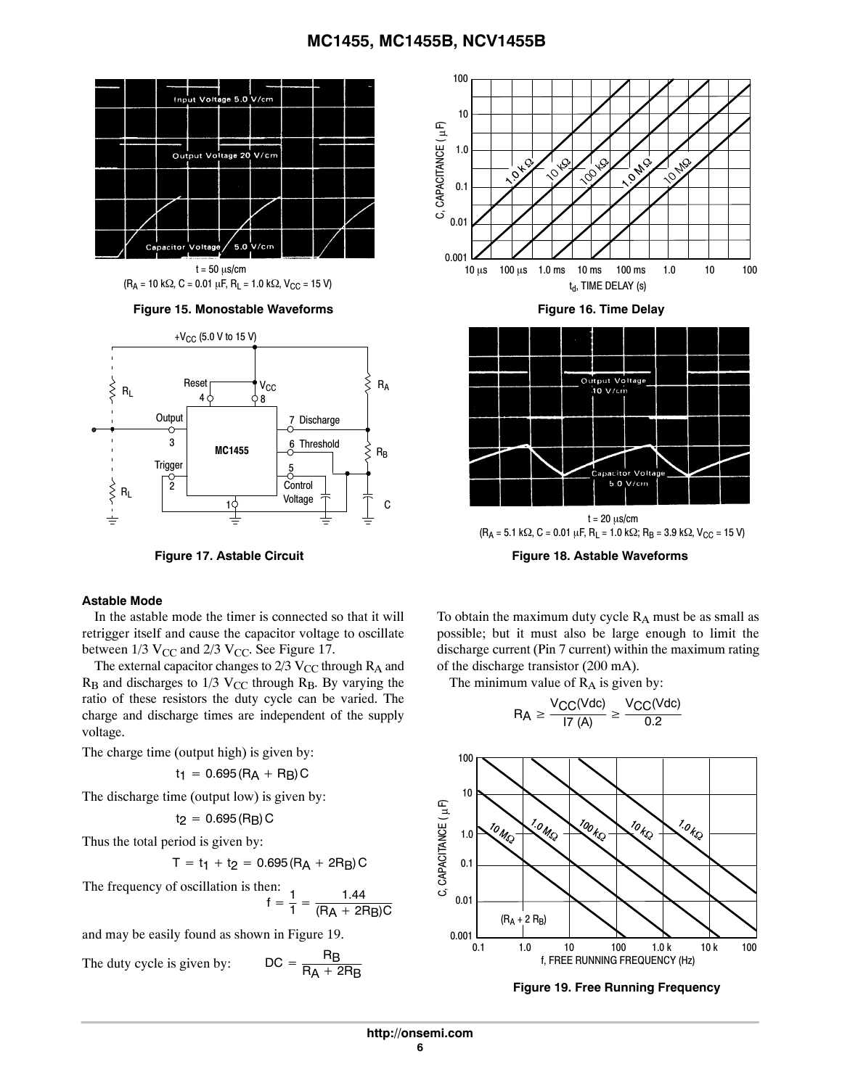

 $(R_A = 10 \text{ k}\Omega, C = 0.01 \mu\text{F}, R_L = 1.0 \text{ k}\Omega, V_{CC} = 15 \text{ V}$ t = 50 µs/cm

Figure 15. Monostable Waveforms **Figure 16. Time Delay** 



#### **Astable Mode**

In the astable mode the timer is connected so that it will retrigger itself and cause the capacitor voltage to oscillate between  $1/3$  V<sub>CC</sub> and  $2/3$  V<sub>CC</sub>. See Figure 17.

The external capacitor changes to  $2/3$  V<sub>CC</sub> through  $R_A$  and  $R_B$  and discharges to 1/3 V<sub>CC</sub> through  $R_B$ . By varying the ratio of these resistors the duty cycle can be varied. The charge and discharge times are independent of the supply voltage.

The charge time (output high) is given by:

 $t_1 = 0.695(R_A + R_B)C$ 

The discharge time (output low) is given by:

$$
t_2 = 0.695 \left(R_B\right) C
$$

Thus the total period is given by:

 $T = t_1 + t_2 = 0.695(R_A + 2R_B)C$ 

The frequency of oscillation is then:  

$$
f = \frac{1}{1} = \frac{1.44}{(RA + 2RB)C}
$$

and may be easily found as shown in Figure 19.

The duty cycle is given by:  $\Box$ 

$$
DC = \frac{R_B}{R_A + 2R_B}
$$





 $(R_A = 5.1 \text{ k}\Omega, C = 0.01 \mu\text{F}, R_L = 1.0 \text{ k}\Omega; R_B = 3.9 \text{ k}\Omega, V_{CC} = 15 \text{ V}$ 

**Figure 17. Astable Circuit Figure 18. Astable Waveforms**

To obtain the maximum duty cycle  $R_A$  must be as small as possible; but it must also be large enough to limit the discharge current (Pin 7 current) within the maximum rating of the discharge transistor (200 mA).

The minimum value of  $R_A$  is given by:

$$
R_A \geq \frac{V_{CC}(Vdc)}{17 (A)} \geq \frac{V_{CC}(Vdc)}{0.2}
$$



**Figure 19. Free Running Frequency**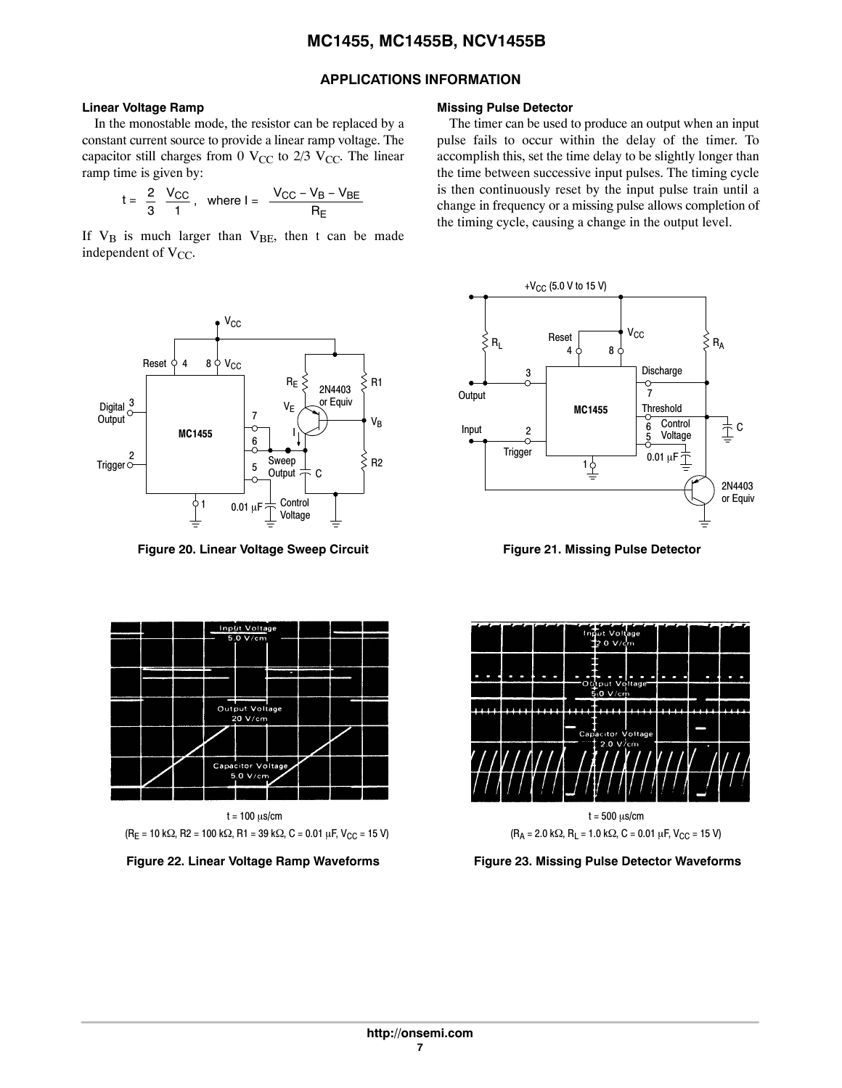### **APPLICATIONS INFORMATION**

#### **Linear Voltage Ramp**

In the monostable mode, the resistor can be replaced by a constant current source to provide a linear ramp voltage. The capacitor still charges from 0  $V_{CC}$  to 2/3  $V_{CC}$ . The linear ramp time is given by:

$$
t = \frac{2}{3} \frac{V_{CC}}{1}, \text{ where } l = \frac{V_{CC} - V_{B} - V_{BE}}{R_{E}}
$$

If  $V_B$  is much larger than  $V_{BE}$ , then t can be made independent of  $V_{CC}$ .



Figure 20. Linear Voltage Sweep Circuit **Figure 21. Missing Pulse Detector** 



t = 100 µs/cm  $(R_E = 10 \text{ k}\Omega, R2 = 100 \text{ k}\Omega, R1 = 39 \text{ k}\Omega, C = 0.01 \mu\text{F}, V_{CC} = 15 \text{ V}$ 



#### **Missing Pulse Detector**

The timer can be used to produce an output when an input pulse fails to occur within the delay of the timer. To accomplish this, set the time delay to be slightly longer than the time between successive input pulses. The timing cycle is then continuously reset by the input pulse train until a change in frequency or a missing pulse allows completion of the timing cycle, causing a change in the output level.







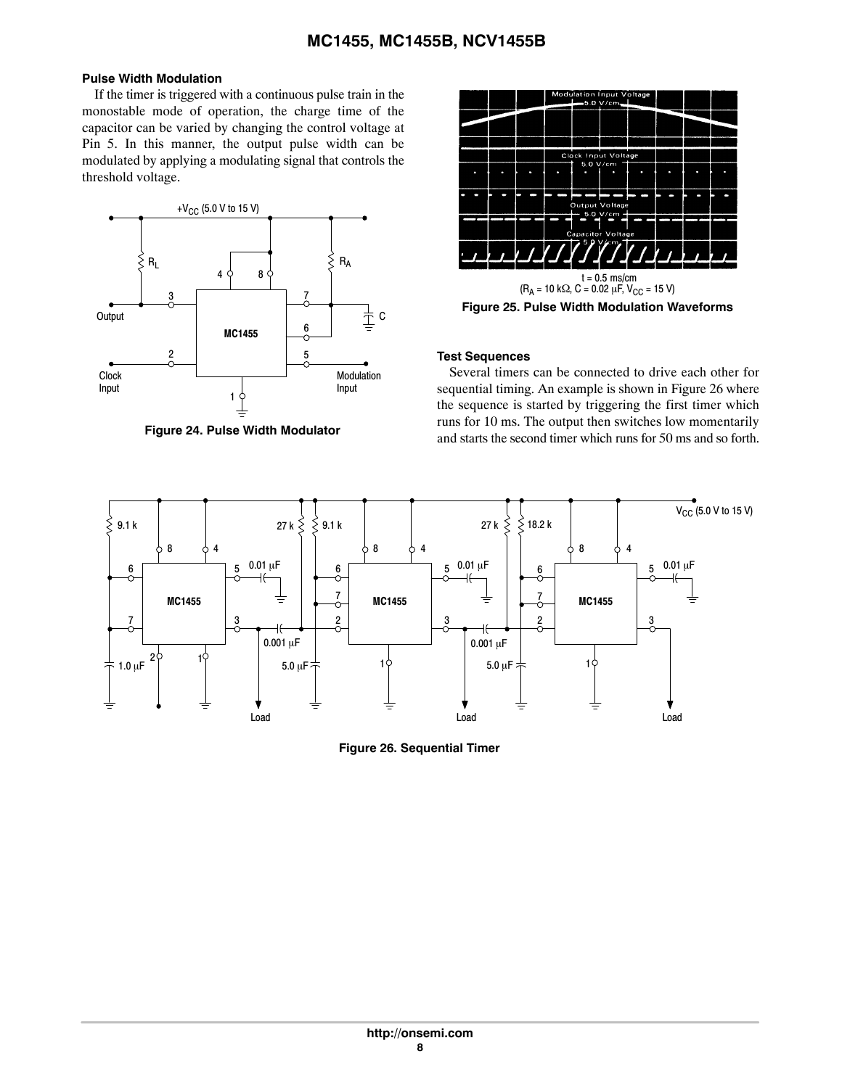### **Pulse Width Modulation**

If the timer is triggered with a continuous pulse train in the monostable mode of operation, the charge time of the capacitor can be varied by changing the control voltage at Pin 5. In this manner, the output pulse width can be modulated by applying a modulating signal that controls the threshold voltage.



**Figure 24. Pulse Width Modulator**



#### **Test Sequences**

Several timers can be connected to drive each other for sequential timing. An example is shown in Figure 26 where the sequence is started by triggering the first timer which runs for 10 ms. The output then switches low momentarily and starts the second timer which runs for 50 ms and so forth.



**Figure 26. Sequential Timer**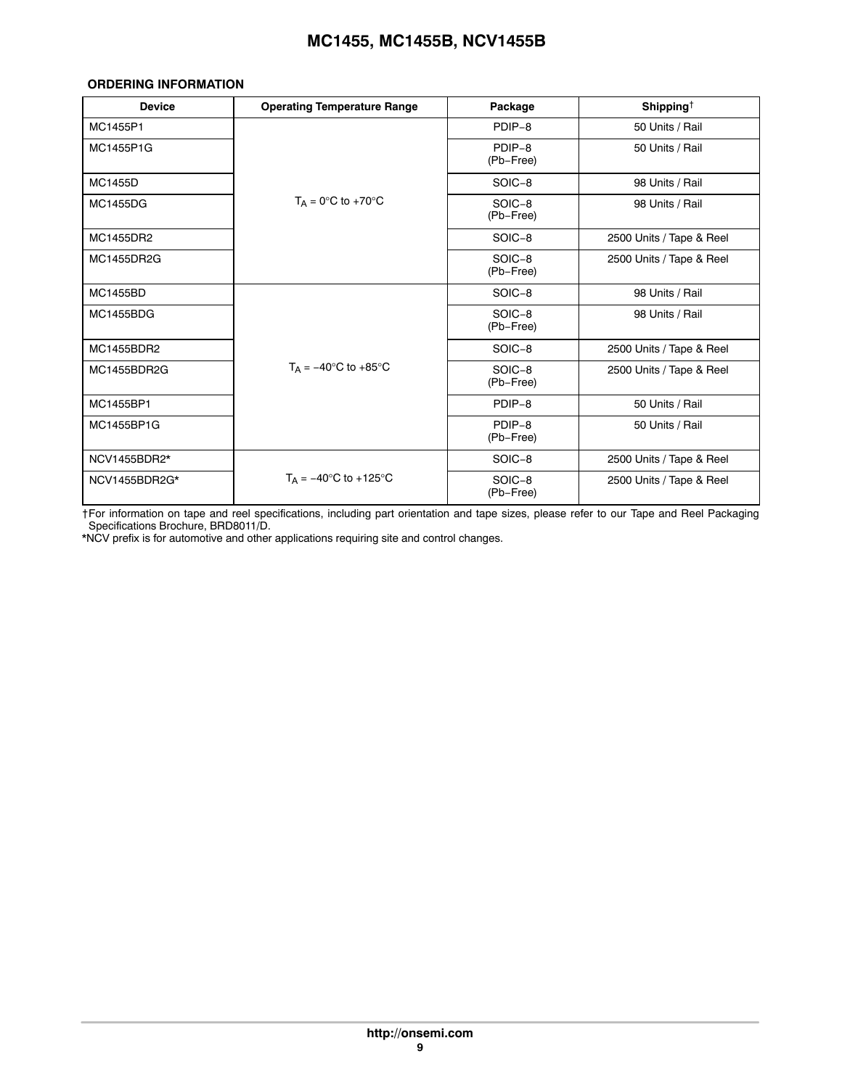#### <span id="page-8-0"></span>**ORDERING INFORMATION**

| <b>Device</b>    | <b>Operating Temperature Range</b>                 | Package             | Shipping <sup><math>\dagger</math></sup> |
|------------------|----------------------------------------------------|---------------------|------------------------------------------|
| MC1455P1         |                                                    | PDIP-8              | 50 Units / Rail                          |
| MC1455P1G        | $T_A = 0^\circ C$ to +70 $^\circ C$                | PDIP-8<br>(Pb-Free) | 50 Units / Rail                          |
| <b>MC1455D</b>   |                                                    | SOIC-8              | 98 Units / Rail                          |
| <b>MC1455DG</b>  |                                                    | SOIC-8<br>(Pb-Free) | 98 Units / Rail                          |
| MC1455DR2        |                                                    | SOIC-8              | 2500 Units / Tape & Reel                 |
| MC1455DR2G       |                                                    | SOIC-8<br>(Pb-Free) | 2500 Units / Tape & Reel                 |
| <b>MC1455BD</b>  |                                                    | SOIC-8              | 98 Units / Rail                          |
| <b>MC1455BDG</b> |                                                    | SOIC-8<br>(Pb-Free) | 98 Units / Rail                          |
| MC1455BDR2       | $T_A = -40^\circ \text{C}$ to $+85^\circ \text{C}$ | SOIC-8              | 2500 Units / Tape & Reel                 |
| MC1455BDR2G      |                                                    | SOIC-8<br>(Pb-Free) | 2500 Units / Tape & Reel                 |
| MC1455BP1        |                                                    | PDIP-8              | 50 Units / Rail                          |
| MC1455BP1G       |                                                    | PDIP-8<br>(Pb-Free) | 50 Units / Rail                          |
| NCV1455BDR2*     |                                                    | SOIC-8              | 2500 Units / Tape & Reel                 |
| NCV1455BDR2G*    | $T_{\Delta}$ = -40°C to +125°C                     | SOIC-8<br>(Pb-Free) | 2500 Units / Tape & Reel                 |

†For information on tape and reel specifications, including part orientation and tape sizes, please refer to our Tape and Reel Packaging Specifications Brochure, BRD8011/D.

\*NCV prefix is for automotive and other applications requiring site and control changes.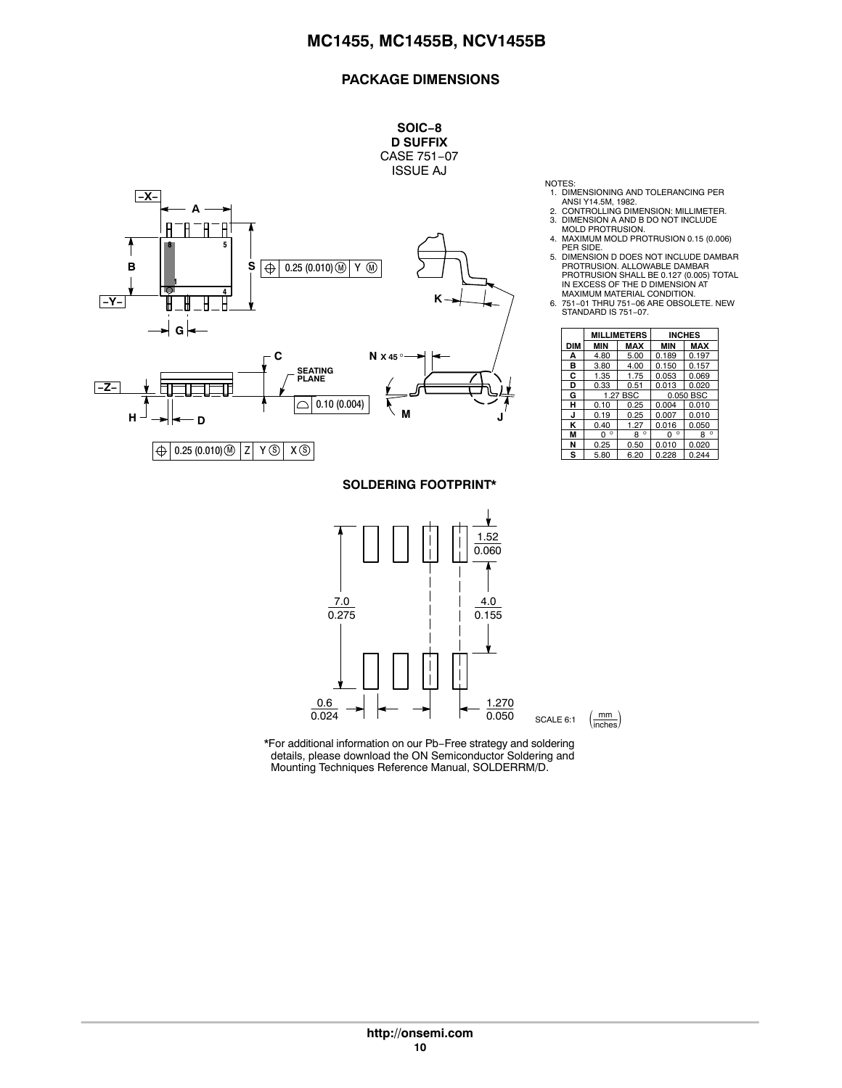#### **PACKAGE DIMENSIONS**



 $0.024$ 

**SOLDERING FOOTPRINT\*** ٧. 1.52 0.060 7.0 4.0  $0.275$  $0.155$ 0.6 1.270  $\mathsf{I}$ 

0.050

SCALE 6:1  $\left(\frac{mm}{inches}\right)$ 

- NOTES: 1. DIMENSIONING AND TOLERANCING PER ANSI Y14.5M, 1982. 2. CONTROLLING DIMENSION: MILLIMETER.
- 
- 3. DIMENSION A AND B DO NOT INCLUDE MOLD PROTRUSION.
- 4. MAXIMUM MOLD PROTRUSION 0.15 (0.006) PER SIDE.
- 5. DIMENSION D DOES NOT INCLUDE DAMBAR PROTRUSION. ALLOWABLE DAMBAR PROTRUSION SHALL BE 0.127 (0.005) TOTAL IN EXCESS OF THE D DIMENSION AT
- MAXIMUM MATERIAL CONDITION. 6. 751−01 THRU 751−06 ARE OBSOLETE. NEW STANDARD IS 751-07.

|            | <b>MILLIMETERS</b> |            | <b>INCHES</b> |              |
|------------|--------------------|------------|---------------|--------------|
| <b>DIM</b> | <b>MIN</b>         | <b>MAX</b> | <b>MIN</b>    | <b>MAX</b>   |
| А          | 4.80               | 5.00       | 0.189         | 0.197        |
| в          | 3.80               | 4.00       | 0.150         | 0.157        |
| C          | 1.35               | 1.75       | 0.053         | 0.069        |
| D          | 0.33               | 0.51       | 0.013         | 0.020        |
| G          |                    | 1.27 BSC   | 0.050 BSC     |              |
| н          | 0.10               | 0.25       | 0.004         | 0.010        |
| J          | 0.19               | 0.25       | 0.007         | 0.010        |
| ĸ          | 0.40               | 1.27       | 0.016         | 0.050        |
| М          | ۰<br>n             | $8^\circ$  | $\circ$<br>ŋ  | $\circ$<br>8 |
| N          | 0.25               | 0.50       | 0.010         | 0.020        |
| s          | 5.80               | 6.20       | 0.228         | 0.244        |

\*For additional information on our Pb−Free strategy and soldering details, please download the ON Semiconductor Soldering and Mounting Techniques Reference Manual, SOLDERRM/D.